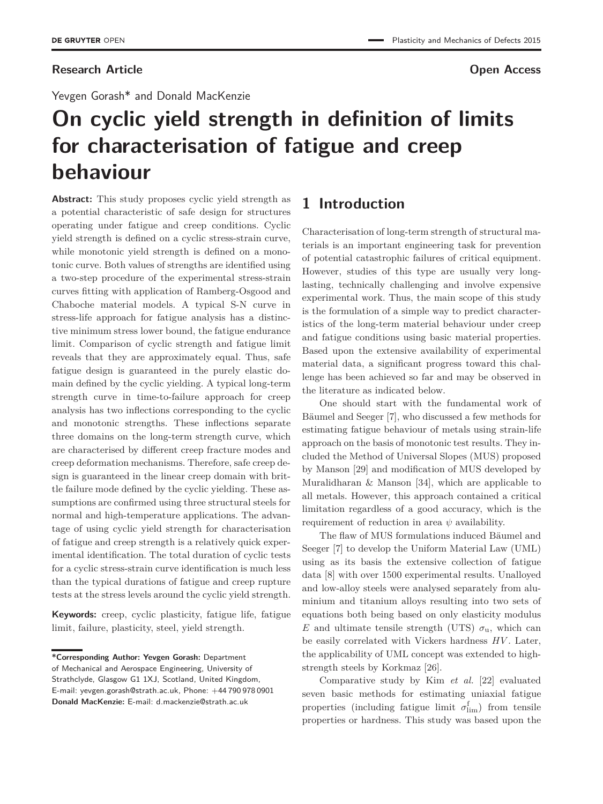#### **Research Article Open Access**

Yevgen Gorash\* and Donald MacKenzie

# **On cyclic yield strength in definition of limits for characterisation of fatigue and creep behaviour**

**Abstract:** This study proposes cyclic yield strength as a potential characteristic of safe design for structures operating under fatigue and creep conditions. Cyclic yield strength is defined on a cyclic stress-strain curve, while monotonic yield strength is defined on a monotonic curve. Both values of strengths are identified using a two-step procedure of the experimental stress-strain curves fitting with application of Ramberg-Osgood and Chaboche material models. A typical S-N curve in stress-life approach for fatigue analysis has a distinctive minimum stress lower bound, the fatigue endurance limit. Comparison of cyclic strength and fatigue limit reveals that they are approximately equal. Thus, safe fatigue design is guaranteed in the purely elastic domain defined by the cyclic yielding. A typical long-term strength curve in time-to-failure approach for creep analysis has two inflections corresponding to the cyclic and monotonic strengths. These inflections separate three domains on the long-term strength curve, which are characterised by different creep fracture modes and creep deformation mechanisms. Therefore, safe creep design is guaranteed in the linear creep domain with brittle failure mode defined by the cyclic yielding. These assumptions are confirmed using three structural steels for normal and high-temperature applications. The advantage of using cyclic yield strength for characterisation of fatigue and creep strength is a relatively quick experimental identification. The total duration of cyclic tests for a cyclic stress-strain curve identification is much less than the typical durations of fatigue and creep rupture tests at the stress levels around the cyclic yield strength.

**Keywords:** creep, cyclic plasticity, fatigue life, fatigue limit, failure, plasticity, steel, yield strength.

# **1 Introduction**

Characterisation of long-term strength of structural materials is an important engineering task for prevention of potential catastrophic failures of critical equipment. However, studies of this type are usually very longlasting, technically challenging and involve expensive experimental work. Thus, the main scope of this study is the formulation of a simple way to predict characteristics of the long-term material behaviour under creep and fatigue conditions using basic material properties. Based upon the extensive availability of experimental material data, a significant progress toward this challenge has been achieved so far and may be observed in the literature as indicated below.

One should start with the fundamental work of Bäumel and Seeger [\[7](#page-12-0)], who discussed a few methods for estimating fatigue behaviour of metals using strain-life approach on the basis of monotonic test results. They included the Method of Universal Slopes (MUS) proposed by Manson [\[29](#page-13-0)] and modification of MUS developed by Muralidharan & Manson [\[34\]](#page-13-1), which are applicable to all metals. However, this approach contained a critical limitation regardless of a good accuracy, which is the requirement of reduction in area  $\psi$  availability.

The flaw of MUS formulations induced Bäumel and Seeger [\[7\]](#page-12-0) to develop the Uniform Material Law (UML) using as its basis the extensive collection of fatigue data [\[8](#page-12-1)] with over 1500 experimental results. Unalloyed and low-alloy steels were analysed separately from aluminium and titanium alloys resulting into two sets of equations both being based on only elasticity modulus *E* and ultimate tensile strength (UTS)  $\sigma_u$ , which can be easily correlated with Vickers hardness  $HV$ . Later, the applicability of UML concept was extended to highstrength steels by Korkmaz [\[26](#page-13-2)].

Comparative study by Kim *et al.* [\[22\]](#page-13-3) evaluated seven basic methods for estimating uniaxial fatigue properties (including fatigue limit  $\sigma_{\text{lim}}^{\text{f}}$ ) from tensile properties or hardness. This study was based upon the

**<sup>\*</sup>Corresponding Author: Yevgen Gorash:** Department of Mechanical and Aerospace Engineering, University of Strathclyde, Glasgow G1 1XJ, Scotland, United Kingdom, E-mail: yevgen.gorash@strath.ac.uk, Phone: +44 790 978 0901 **Donald MacKenzie:** E-mail: d.mackenzie@strath.ac.uk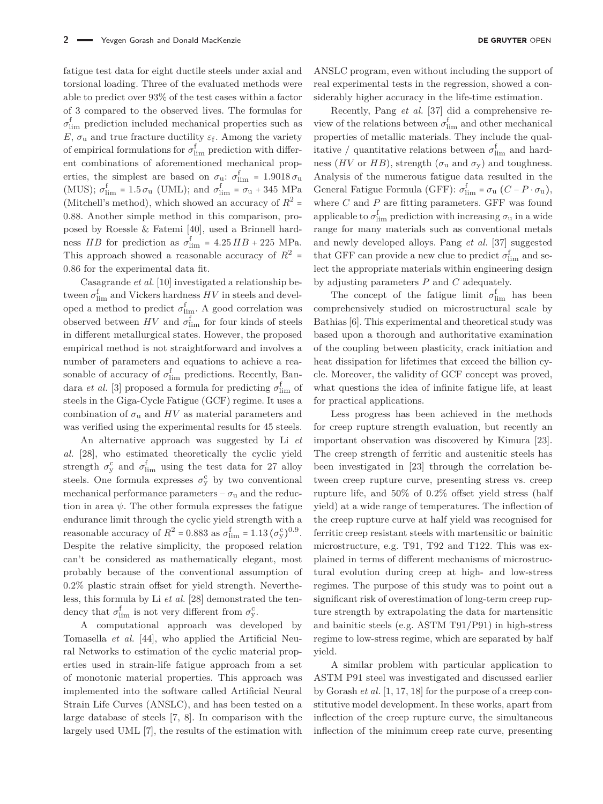fatigue test data for eight ductile steels under axial and torsional loading. Three of the evaluated methods were able to predict over 93% of the test cases within a factor of 3 compared to the observed lives. The formulas for  $\sigma^\mathrm{f}_\mathrm{lim}$  prediction included mechanical properties such as *E*,  $\sigma_u$  and true fracture ductility  $\varepsilon_f$ . Among the variety of empirical formulations for  $\sigma_{\lim}^{\text{f}}$  prediction with different combinations of aforementioned mechanical properties, the simplest are based on  $\sigma_{\rm u}$ :  $\sigma_{\rm lim}^{\rm f}$  = 1.9018 $\sigma_{\rm u}$ (MUS);  $\sigma_{\text{lim}}^{\text{f}} = 1.5 \sigma_{\text{u}}$  (UML); and  $\sigma_{\text{lim}}^{\text{f}} = \sigma_{\text{u}} + 345 \text{ MPa}$ (Mitchell's method), which showed an accuracy of  $R^2$  = 0*.*88. Another simple method in this comparison, proposed by Roessle & Fatemi [\[40\]](#page-13-4), used a Brinnell hardness  $HB$  for prediction as  $\sigma_{\text{lim}}^{\text{f}} = 4.25 HB + 225 MPa$ .

0*.*86 for the experimental data fit. Casagrande *et al.* [\[10\]](#page-12-2) investigated a relationship between  $\sigma_{\lim}^{\mathrm{f}}$  and Vickers hardness  $HV$  in steels and developed a method to predict  $\sigma_{\text{lim}}^{\text{f}}$ . A good correlation was observed between  $HV$  and  $\sigma_{\text{lim}}^{\text{f}}$  for four kinds of steels in different metallurgical states. However, the proposed empirical method is not straightforward and involves a number of parameters and equations to achieve a reasonable of accuracy of  $\sigma_{\text{lim}}^{\text{f}}$  predictions. Recently, Bandara *et al.* [\[3](#page-12-3)] proposed a formula for predicting  $\sigma$ <sup>f</sup>lim of steels in the Giga-Cycle Fatigue (GCF) regime. It uses a combination of  $\sigma_u$  and *HV* as material parameters and was verified using the experimental results for 45 steels.

This approach showed a reasonable accuracy of  $R^2$  =

An alternative approach was suggested by Li *et al.* [\[28\]](#page-13-5), who estimated theoretically the cyclic yield strength  $\sigma_{y}^{\rm c}$  and  $\sigma_{\rm lim}^{\rm f}$  using the test data for 27 alloy steels. One formula expresses  $\sigma_y^c$  by two conventional mechanical performance parameters –  $\sigma_u$  and the reduction in area  $\psi$ . The other formula expresses the fatigue endurance limit through the cyclic yield strength with a reasonable accuracy of  $R^2 = 0.883$  as  $\sigma_{\text{lim}}^{\text{f}} = 1.13 (\sigma_y^{\text{c}})^{0.9}$ . Despite the relative simplicity, the proposed relation can't be considered as mathematically elegant, most probably because of the conventional assumption of 0*.*2% plastic strain offset for yield strength. Nevertheless, this formula by Li *et al.* [\[28](#page-13-5)] demonstrated the tendency that  $\sigma_{\text{lim}}^{\text{f}}$  is not very different from  $\sigma_{\text{y}}^{\text{c}}$ .

A computational approach was developed by Tomasella *et al.* [\[44\]](#page-13-6), who applied the Artificial Neural Networks to estimation of the cyclic material properties used in strain-life fatigue approach from a set of monotonic material properties. This approach was implemented into the software called Artificial Neural Strain Life Curves (ANSLC), and has been tested on a large database of steels [\[7,](#page-12-0) [8](#page-12-1)]. In comparison with the largely used UML [\[7\]](#page-12-0), the results of the estimation with

ANSLC program, even without including the support of real experimental tests in the regression, showed a considerably higher accuracy in the life-time estimation.

Recently, Pang *et al.* [\[37\]](#page-13-7) did a comprehensive review of the relations between  $\sigma^\mathrm{f}_\mathrm{lim}$  and other mechanical properties of metallic materials. They include the qualitative / quantitative relations between  $\sigma_{\text{lim}}^{\text{f}}$  and hardness (*HV* or *HB*), strength ( $\sigma_u$  and  $\sigma_y$ ) and toughness. Analysis of the numerous fatigue data resulted in the General Fatigue Formula (GFF):  $\sigma_{\text{lim}}^{\text{f}} = \sigma_{\text{u}} (C - P \cdot \sigma_{\text{u}})$ , where *C* and *P* are fitting parameters. GFF was found applicable to  $\sigma_{\text{lim}}^{\text{f}}$  prediction with increasing  $\sigma_{\text{u}}$  in a wide range for many materials such as conventional metals and newly developed alloys. Pang *et al.* [\[37\]](#page-13-7) suggested that GFF can provide a new clue to predict  $\sigma_{\text{lim}}^{\text{f}}$  and select the appropriate materials within engineering design by adjusting parameters *P* and *C* adequately.

The concept of the fatigue limit  $\sigma_{\text{lim}}^{\text{f}}$  has been comprehensively studied on microstructural scale by Bathias [\[6](#page-12-4)]. This experimental and theoretical study was based upon a thorough and authoritative examination of the coupling between plasticity, crack initiation and heat dissipation for lifetimes that exceed the billion cycle. Moreover, the validity of GCF concept was proved, what questions the idea of infinite fatigue life, at least for practical applications.

Less progress has been achieved in the methods for creep rupture strength evaluation, but recently an important observation was discovered by Kimura [\[23\]](#page-13-8). The creep strength of ferritic and austenitic steels has been investigated in [\[23](#page-13-8)] through the correlation between creep rupture curve, presenting stress vs. creep rupture life, and 50% of 0.2% offset yield stress (half yield) at a wide range of temperatures. The inflection of the creep rupture curve at half yield was recognised for ferritic creep resistant steels with martensitic or bainitic microstructure, e.g. T91, T92 and T122. This was explained in terms of different mechanisms of microstructural evolution during creep at high- and low-stress regimes. The purpose of this study was to point out a significant risk of overestimation of long-term creep rupture strength by extrapolating the data for martensitic and bainitic steels (e.g. ASTM T91/P91) in high-stress regime to low-stress regime, which are separated by half yield.

A similar problem with particular application to ASTM P91 steel was investigated and discussed earlier by Gorash *et al.* [\[1,](#page-12-5) [17,](#page-13-9) [18](#page-13-10)] for the purpose of a creep constitutive model development. In these works, apart from inflection of the creep rupture curve, the simultaneous inflection of the minimum creep rate curve, presenting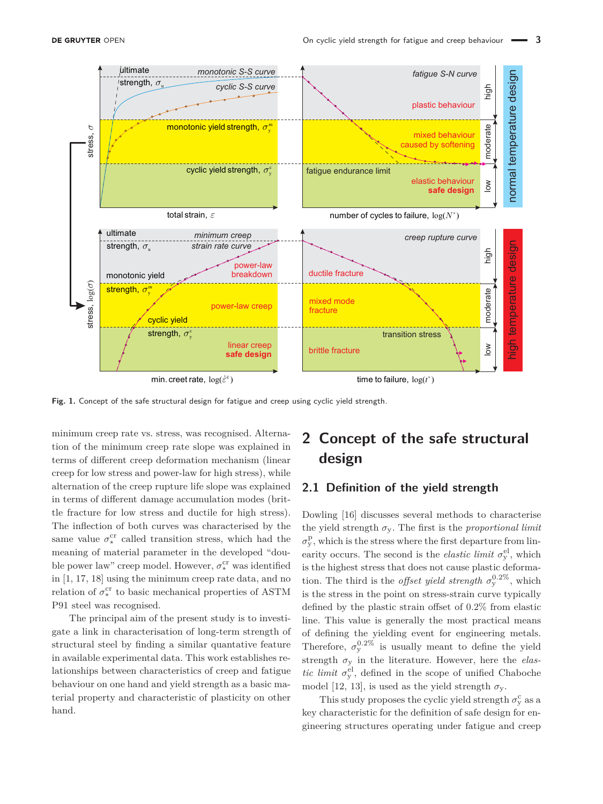<span id="page-2-0"></span>

**Fig. 1.** Concept of the safe structural design for fatigue and creep using cyclic yield strength.

minimum creep rate vs. stress, was recognised. Alternation of the minimum creep rate slope was explained in terms of different creep deformation mechanism (linear creep for low stress and power-law for high stress), while alternation of the creep rupture life slope was explained in terms of different damage accumulation modes (brittle fracture for low stress and ductile for high stress). The inflection of both curves was characterised by the same value  $\sigma_*^{\text{cr}}$  called transition stress, which had the meaning of material parameter in the developed "double power law" creep model. However,  $\sigma_*^{\text{cr}}$  was identified in [\[1](#page-12-5), [17](#page-13-9), [18\]](#page-13-10) using the minimum creep rate data, and no relation of  $\sigma_*^{\text{cr}}$  to basic mechanical properties of ASTM P91 steel was recognised.

The principal aim of the present study is to investigate a link in characterisation of long-term strength of structural steel by finding a similar quantative feature in available experimental data. This work establishes relationships between characteristics of creep and fatigue behaviour on one hand and yield strength as a basic material property and characteristic of plasticity on other hand.

# **2 Concept of the safe structural design**

#### **2.1 Definition of the yield strength**

Dowling [\[16\]](#page-13-11) discusses several methods to characterise the yield strength  $\sigma_y$ . The first is the *proportional limit*  $\sigma_y^{\rm p}$ , which is the stress where the first departure from linearity occurs. The second is the *elastic limit*  $\sigma_y^{\text{el}}$ , which is the highest stress that does not cause plastic deformation. The third is the *offset yield strength*  $\sigma_{y}^{0.2\%}$ , which is the stress in the point on stress-strain curve typically defined by the plastic strain offset of 0*.*2% from elastic line. This value is generally the most practical means of defining the yielding event for engineering metals. Therefore,  $\sigma_{y}^{0.2\%}$  is usually meant to define the yield strength *σ*y in the literature. However, here the *elastic limit*  $\sigma_y^{\text{el}}$ , defined in the scope of unified Chaboche model [\[12](#page-12-6), [13\]](#page-12-7), is used as the yield strength  $\sigma_y$ .

This study proposes the cyclic yield strength  $\sigma_y^c$  as a key characteristic for the definition of safe design for engineering structures operating under fatigue and creep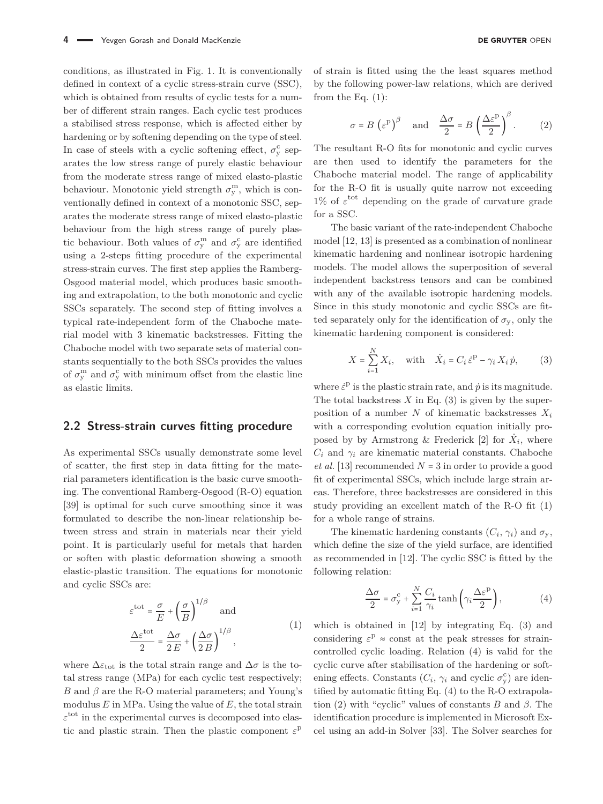conditions, as illustrated in Fig. [1.](#page-2-0) It is conventionally defined in context of a cyclic stress-strain curve (SSC), which is obtained from results of cyclic tests for a number of different strain ranges. Each cyclic test produces a stabilised stress response, which is affected either by hardening or by softening depending on the type of steel. In case of steels with a cyclic softening effect,  $\sigma_y^c$  separates the low stress range of purely elastic behaviour from the moderate stress range of mixed elasto-plastic behaviour. Monotonic yield strength  $\sigma_y^m$ , which is conventionally defined in context of a monotonic SSC, separates the moderate stress range of mixed elasto-plastic behaviour from the high stress range of purely plastic behaviour. Both values of  $\sigma_y^{\text{m}}$  and  $\sigma_y^{\text{c}}$  are identified using a 2-steps fitting procedure of the experimental stress-strain curves. The first step applies the Ramberg-Osgood material model, which produces basic smoothing and extrapolation, to the both monotonic and cyclic SSCs separately. The second step of fitting involves a typical rate-independent form of the Chaboche material model with 3 kinematic backstresses. Fitting the Chaboche model with two separate sets of material constants sequentially to the both SSCs provides the values of  $\sigma_y^{\text{m}}$  and  $\sigma_y^{\text{c}}$  with minimum offset from the elastic line as elastic limits.

#### **2.2 Stress-strain curves fitting procedure**

As experimental SSCs usually demonstrate some level of scatter, the first step in data fitting for the material parameters identification is the basic curve smoothing. The conventional Ramberg-Osgood (R-O) equation [\[39\]](#page-13-12) is optimal for such curve smoothing since it was formulated to describe the non-linear relationship between stress and strain in materials near their yield point. It is particularly useful for metals that harden or soften with plastic deformation showing a smooth elastic-plastic transition. The equations for monotonic and cyclic SSCs are:

<span id="page-3-0"></span>
$$
\varepsilon^{\text{tot}} = \frac{\sigma}{E} + \left(\frac{\sigma}{B}\right)^{1/\beta} \quad \text{and}
$$
\n
$$
\frac{\Delta \varepsilon^{\text{tot}}}{2} = \frac{\Delta \sigma}{2E} + \left(\frac{\Delta \sigma}{2B}\right)^{1/\beta},
$$
\n(1)

where  $\Delta \varepsilon_{\text{tot}}$  is the total strain range and  $\Delta \sigma$  is the total stress range (MPa) for each cyclic test respectively; *B* and  $\beta$  are the R-O material parameters; and Young's modulus *E* in MPa. Using the value of *E*, the total strain  $\varepsilon^{\rm tot}$  in the experimental curves is decomposed into elastic and plastic strain. Then the plastic component *ε* p of strain is fitted using the the least squares method by the following power-law relations, which are derived from the Eq.  $(1)$ :

<span id="page-3-3"></span>
$$
\sigma = B \left( \varepsilon^{\mathcal{P}} \right)^{\beta} \quad \text{and} \quad \frac{\Delta \sigma}{2} = B \left( \frac{\Delta \varepsilon^{\mathcal{P}}}{2} \right)^{\beta} . \tag{2}
$$

The resultant R-O fits for monotonic and cyclic curves are then used to identify the parameters for the Chaboche material model. The range of applicability for the R-O fit is usually quite narrow not exceeding  $1\%$  of  $\varepsilon^{\text{tot}}$  depending on the grade of curvature grade for a SSC.

The basic variant of the rate-independent Chaboche model [\[12,](#page-12-6) [13\]](#page-12-7) is presented as a combination of nonlinear kinematic hardening and nonlinear isotropic hardening models. The model allows the superposition of several independent backstress tensors and can be combined with any of the available isotropic hardening models. Since in this study monotonic and cyclic SSCs are fitted separately only for the identification of  $\sigma_{v}$ , only the kinematic hardening component is considered:

<span id="page-3-1"></span>
$$
X = \sum_{i=1}^{N} X_i, \quad \text{with} \quad \dot{X}_i = C_i \dot{\varepsilon}^{\mathcal{P}} - \gamma_i X_i \dot{p}, \tag{3}
$$

where  $\dot{\varepsilon}^{\text{p}}$  is the plastic strain rate, and  $\dot{p}$  is its magnitude. The total backstress  $X$  in Eq.  $(3)$  is given by the superposition of a number  $N$  of kinematic backstresses  $X_i$ with a corresponding evolution equation initially pro-posed by by Armstrong & Frederick [\[2\]](#page-12-8) for  $\dot{X}_i$ , where  $C_i$  and  $\gamma_i$  are kinematic material constants. Chaboche *et al.* [\[13\]](#page-12-7) recommended *N* = 3 in order to provide a good fit of experimental SSCs, which include large strain areas. Therefore, three backstresses are considered in this study providing an excellent match of the R-O fit [\(1\)](#page-3-0) for a whole range of strains.

The kinematic hardening constants  $(C_i, \gamma_i)$  and  $\sigma_y$ , which define the size of the yield surface, are identified as recommended in [\[12](#page-12-6)]. The cyclic SSC is fitted by the following relation:

<span id="page-3-2"></span>
$$
\frac{\Delta \sigma}{2} = \sigma_{y}^{\rm c} + \sum_{i=1}^{N} \frac{C_{i}}{\gamma_{i}} \tanh\left(\gamma_{i} \frac{\Delta \varepsilon^{\rm p}}{2}\right),\tag{4}
$$

which is obtained in [\[12\]](#page-12-6) by integrating Eq. [\(3\)](#page-3-1) and considering  $\varepsilon^{\mathrm{p}}$   $\approx$  const at the peak stresses for straincontrolled cyclic loading. Relation [\(4\)](#page-3-2) is valid for the cyclic curve after stabilisation of the hardening or softening effects. Constants  $(C_i, \gamma_i)$  and cyclic  $\sigma_y^c$  are identified by automatic fitting Eq. [\(4\)](#page-3-2) to the R-O extrapolation [\(2\)](#page-3-3) with "cyclic" values of constants *B* and *β*. The identification procedure is implemented in Microsoft Excel using an add-in Solver [\[33\]](#page-13-13). The Solver searches for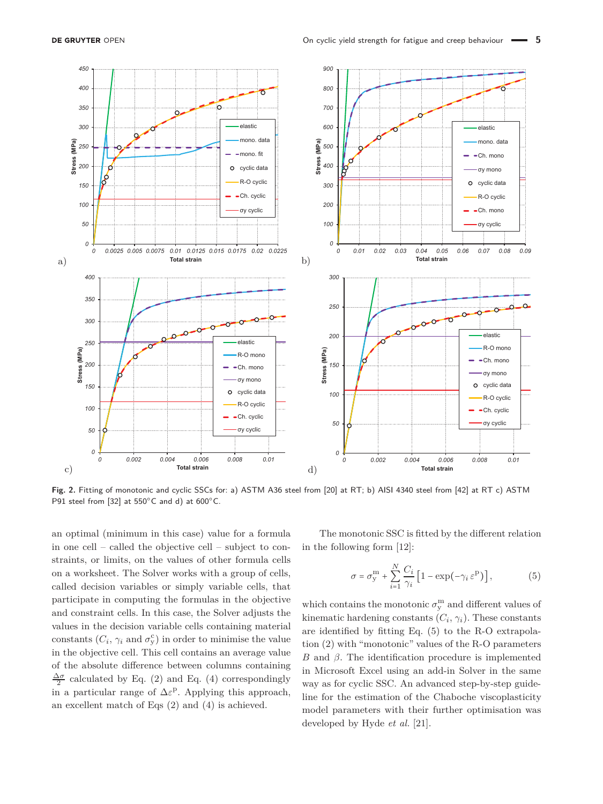<span id="page-4-1"></span>

**Fig. 2.** Fitting of monotonic and cyclic SSCs for: a) ASTM A36 steel from [\[20\]](#page-13-14) at RT; b) AISI 4340 steel from [\[42](#page-13-15)] at RT c) ASTM P91 steel from [\[32\]](#page-13-16) at 550°C and d) at 600°C.

an optimal (minimum in this case) value for a formula in one cell – called the objective cell – subject to constraints, or limits, on the values of other formula cells on a worksheet. The Solver works with a group of cells, called decision variables or simply variable cells, that participate in computing the formulas in the objective and constraint cells. In this case, the Solver adjusts the values in the decision variable cells containing material constants  $(C_i, \gamma_i \text{ and } \sigma_y^c)$  in order to minimise the value in the objective cell. This cell contains an average value of the absolute difference between columns containing  $\frac{\Delta\sigma}{2}$  calculated by Eq. [\(2\)](#page-3-3) and Eq. [\(4\)](#page-3-2) correspondingly in a particular range of  $\Delta \varepsilon^{\text{p}}$ . Applying this approach, an excellent match of Eqs [\(2\)](#page-3-3) and [\(4\)](#page-3-2) is achieved.

The monotonic SSC is fitted by the different relation in the following form [\[12\]](#page-12-6):

<span id="page-4-0"></span>
$$
\sigma = \sigma_{\mathbf{y}}^{\mathbf{m}} + \sum_{i=1}^{N} \frac{C_i}{\gamma_i} \left[ 1 - \exp(-\gamma_i \,\varepsilon^{\mathbf{p}}) \right],\tag{5}
$$

which contains the monotonic  $\sigma_y^{\text{m}}$  and different values of kinematic hardening constants  $(C_i, \gamma_i)$ . These constants are identified by fitting Eq. [\(5\)](#page-4-0) to the R-O extrapolation [\(2\)](#page-3-3) with "monotonic" values of the R-O parameters *B* and  $β$ . The identification procedure is implemented in Microsoft Excel using an add-in Solver in the same way as for cyclic SSC. An advanced step-by-step guideline for the estimation of the Chaboche viscoplasticity model parameters with their further optimisation was developed by Hyde *et al.* [\[21\]](#page-13-17).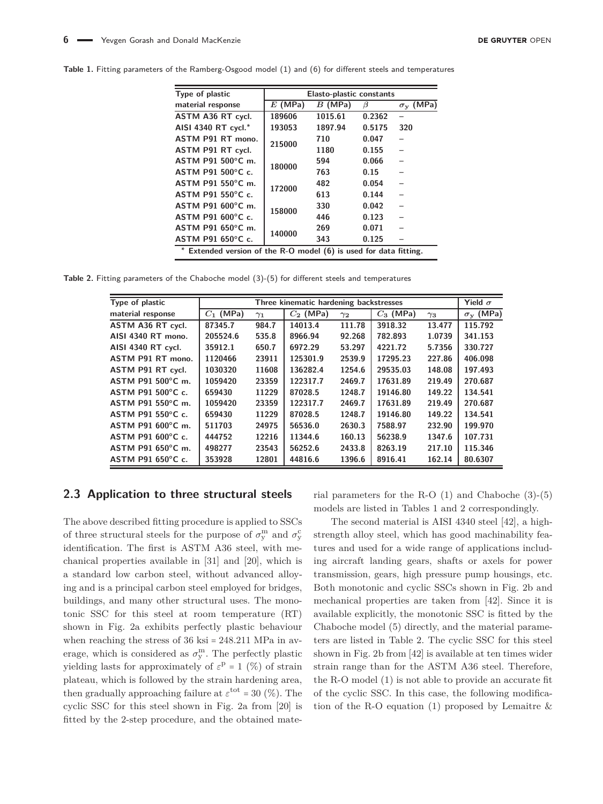| Type of plastic                                                   |           | <b>Elasto-plastic constants</b> |        |                        |  |
|-------------------------------------------------------------------|-----------|---------------------------------|--------|------------------------|--|
| material response                                                 | $E$ (MPa) | $B$ (MPa)                       | β      | $\sigma_{\rm v}$ (MPa) |  |
| ASTM A36 RT cycl.                                                 | 189606    | 1015.61                         | 0.2362 |                        |  |
| AISI 4340 RT cycl.*                                               | 193053    | 1897.94                         | 0.5175 | 320                    |  |
| ASTM P91 RT mono.                                                 | 215000    | 710                             | 0.047  |                        |  |
| ASTM P91 RT cycl.                                                 |           | 1180                            | 0.155  |                        |  |
| ASTM P91 500°C m.                                                 | 180000    | 594                             | 0.066  |                        |  |
| ASTM P91 $500^{\circ}$ C c.                                       |           | 763                             | 0.15   |                        |  |
| ASTM P91 550°C m.                                                 | 172000    | 482                             | 0.054  |                        |  |
| ASTM P91 550°C c.                                                 |           | 613                             | 0.144  |                        |  |
| ASTM P91 600°C m.                                                 |           | 330                             | 0.042  |                        |  |
| ASTM P91 600°C c.                                                 | 158000    | 446                             | 0.123  |                        |  |
| ASTM P91 650°C m.                                                 | 140000    | 269                             | 0.071  |                        |  |
| ASTM P91 650°C c.                                                 |           | 343                             | 0.125  |                        |  |
| * Extended version of the R-O model (6) is used for data fitting. |           |                                 |        |                        |  |

<span id="page-5-0"></span>**Table 1.** Fitting parameters of the Ramberg-Osgood model [\(1\)](#page-3-0) and [\(6\)](#page-6-0) for different steels and temperatures

<span id="page-5-1"></span>**Table 2.** Fitting parameters of the Chaboche model [\(3\)](#page-3-1)-[\(5\)](#page-4-0) for different steels and temperatures

| Type of plastic    |             |            | Three kinematic hardening backstresses |            |             |            | Yield $\sigma$         |
|--------------------|-------------|------------|----------------------------------------|------------|-------------|------------|------------------------|
| material response  | $C_1$ (MPa) | $\gamma_1$ | $C_2$ (MPa)                            | $\gamma_2$ | $C_3$ (MPa) | $\gamma_3$ | $\sigma_{\rm v}$ (MPa) |
| ASTM A36 RT cycl.  | 87345.7     | 984.7      | 14013.4                                | 111.78     | 3918.32     | 13.477     | 115.792                |
| AISI 4340 RT mono. | 205524.6    | 535.8      | 8966.94                                | 92.268     | 782.893     | 1.0739     | 341.153                |
| AISI 4340 RT cycl. | 35912.1     | 650.7      | 6972.29                                | 53.297     | 4221.72     | 5.7356     | 330.727                |
| ASTM P91 RT mono.  | 1120466     | 23911      | 125301.9                               | 2539.9     | 17295.23    | 227.86     | 406.098                |
| ASTM P91 RT cycl.  | 1030320     | 11608      | 136282.4                               | 1254.6     | 29535.03    | 148.08     | 197.493                |
| ASTM P91 500°C m.  | 1059420     | 23359      | 122317.7                               | 2469.7     | 17631.89    | 219.49     | 270.687                |
| ASTM P91 500°C c.  | 659430      | 11229      | 87028.5                                | 1248.7     | 19146.80    | 149.22     | 134.541                |
| ASTM P91 550°C m.  | 1059420     | 23359      | 122317.7                               | 2469.7     | 17631.89    | 219.49     | 270.687                |
| ASTM P91 550°C c.  | 659430      | 11229      | 87028.5                                | 1248.7     | 19146.80    | 149.22     | 134.541                |
| ASTM P91 600°C m.  | 511703      | 24975      | 56536.0                                | 2630.3     | 7588.97     | 232.90     | 199.970                |
| ASTM P91 600°C c.  | 444752      | 12216      | 11344.6                                | 160.13     | 56238.9     | 1347.6     | 107.731                |
| ASTM P91 650°C m.  | 498277      | 23543      | 56252.6                                | 2433.8     | 8263.19     | 217.10     | 115.346                |
| ASTM P91 650°C c.  | 353928      | 12801      | 44816.6                                | 1396.6     | 8916.41     | 162.14     | 80.6307                |

#### **2.3 Application to three structural steels**

The above described fitting procedure is applied to SSCs of three structural steels for the purpose of  $\sigma_y^{\text{m}}$  and  $\sigma_y^{\text{c}}$ identification. The first is ASTM A36 steel, with mechanical properties available in [\[31\]](#page-13-18) and [\[20\]](#page-13-14), which is a standard low carbon steel, without advanced alloying and is a principal carbon steel employed for bridges, buildings, and many other structural uses. The monotonic SSC for this steel at room temperature (RT) shown in Fig. [2a](#page-4-1) exhibits perfectly plastic behaviour when reaching the stress of 36 ksi = 248*.*211 MPa in average, which is considered as  $\sigma_y^{\text{m}}$ . The perfectly plastic yielding lasts for approximately of  $\varepsilon^{\text{p}} = 1$  (%) of strain plateau, which is followed by the strain hardening area, then gradually approaching failure at  $\varepsilon^{\text{tot}} = 30$  (%). The cyclic SSC for this steel shown in Fig. [2a](#page-4-1) from [\[20](#page-13-14)] is fitted by the 2-step procedure, and the obtained material parameters for the R-O  $(1)$  and Chaboche  $(3)-(5)$  $(3)-(5)$  $(3)-(5)$ models are listed in Tables [1](#page-5-0) and [2](#page-5-1) correspondingly.

The second material is AISI 4340 steel [\[42\]](#page-13-15), a highstrength alloy steel, which has good machinability features and used for a wide range of applications including aircraft landing gears, shafts or axels for power transmission, gears, high pressure pump housings, etc. Both monotonic and cyclic SSCs shown in Fig. [2b](#page-4-1) and mechanical properties are taken from [\[42\]](#page-13-15). Since it is available explicitly, the monotonic SSC is fitted by the Chaboche model [\(5\)](#page-4-0) directly, and the material parameters are listed in Table [2.](#page-5-1) The cyclic SSC for this steel shown in Fig. [2b](#page-4-1) from [\[42\]](#page-13-15) is available at ten times wider strain range than for the ASTM A36 steel. Therefore, the R-O model [\(1\)](#page-3-0) is not able to provide an accurate fit of the cyclic SSC. In this case, the following modifica-tion of the R-O equation [\(1\)](#page-3-0) proposed by Lemaitre  $\&$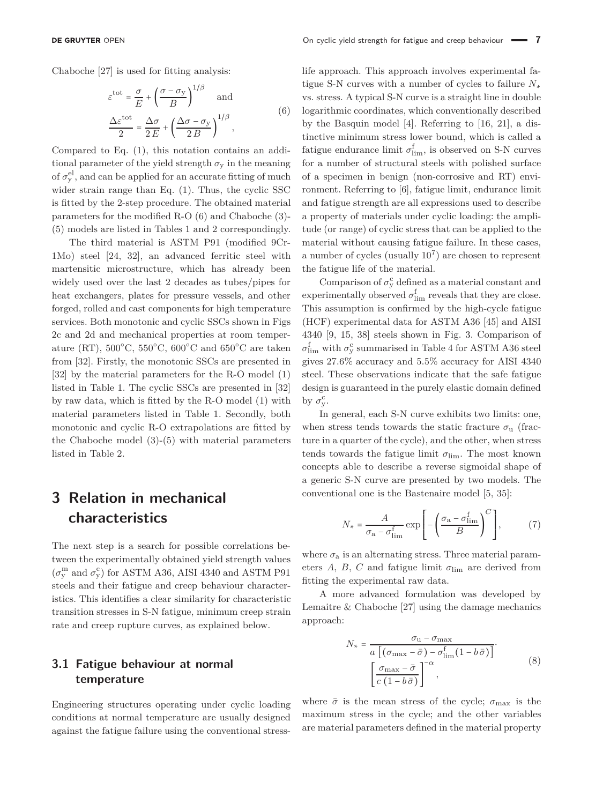Chaboche [\[27\]](#page-13-19) is used for fitting analysis:

$$
\varepsilon^{\text{tot}} = \frac{\sigma}{E} + \left(\frac{\sigma - \sigma_y}{B}\right)^{1/\beta} \quad \text{and}
$$
\n
$$
\frac{\Delta \varepsilon^{\text{tot}}}{2} = \frac{\Delta \sigma}{2E} + \left(\frac{\Delta \sigma - \sigma_y}{2B}\right)^{1/\beta},
$$
\n(6)

Compared to Eq. [\(1\)](#page-3-0), this notation contains an additional parameter of the yield strength  $\sigma_y$  in the meaning of  $\sigma_y^{\text{el}}$ , and can be applied for an accurate fitting of much wider strain range than Eq. [\(1\)](#page-3-0). Thus, the cyclic SSC is fitted by the 2-step procedure. The obtained material parameters for the modified R-O [\(6\)](#page-6-0) and Chaboche [\(3\)](#page-3-1)- [\(5\)](#page-4-0) models are listed in Tables [1](#page-5-0) and [2](#page-5-1) correspondingly.

The third material is ASTM P91 (modified 9Cr-1Mo) steel [\[24,](#page-13-20) [32](#page-13-16)], an advanced ferritic steel with martensitic microstructure, which has already been widely used over the last 2 decades as tubes/pipes for heat exchangers, plates for pressure vessels, and other forged, rolled and cast components for high temperature services. Both monotonic and cyclic SSCs shown in Figs [2c](#page-4-1) and [2d](#page-4-1) and mechanical properties at room temperature (RT),  $500^{\circ}$ C,  $550^{\circ}$ C,  $600^{\circ}$ C and  $650^{\circ}$ C are taken from [\[32\]](#page-13-16). Firstly, the monotonic SSCs are presented in [\[32\]](#page-13-16) by the material parameters for the R-O model [\(1\)](#page-3-0) listed in Table [1.](#page-5-0) The cyclic SSCs are presented in [\[32\]](#page-13-16) by raw data, which is fitted by the R-O model [\(1\)](#page-3-0) with material parameters listed in Table [1.](#page-5-0) Secondly, both monotonic and cyclic R-O extrapolations are fitted by the Chaboche model [\(3\)](#page-3-1)-[\(5\)](#page-4-0) with material parameters listed in Table [2.](#page-5-1)

# **3 Relation in mechanical characteristics**

The next step is a search for possible correlations between the experimentally obtained yield strength values  $(\sigma_y^{\rm m}$  and  $\sigma_y^{\rm c})$  for ASTM A36, AISI 4340 and ASTM P91 steels and their fatigue and creep behaviour characteristics. This identifies a clear similarity for characteristic transition stresses in S-N fatigue, minimum creep strain rate and creep rupture curves, as explained below.

### **3.1 Fatigue behaviour at normal temperature**

Engineering structures operating under cyclic loading conditions at normal temperature are usually designed against the fatigue failure using the conventional stress<span id="page-6-0"></span>life approach. This approach involves experimental fatigue S-N curves with a number of cycles to failure *N*<sup>∗</sup> vs. stress. A typical S-N curve is a straight line in double logarithmic coordinates, which conventionally described by the Basquin model [\[4](#page-12-9)]. Referring to [\[16](#page-13-11), [21\]](#page-13-17), a distinctive minimum stress lower bound, which is called a fatigue endurance limit  $\sigma_{\text{lim}}^{\text{f}}$ , is observed on S-N curves for a number of structural steels with polished surface of a specimen in benign (non-corrosive and RT) environment. Referring to [\[6\]](#page-12-4), fatigue limit, endurance limit and fatigue strength are all expressions used to describe a property of materials under cyclic loading: the amplitude (or range) of cyclic stress that can be applied to the material without causing fatigue failure. In these cases, a number of cycles (usually  $10^7$ ) are chosen to represent the fatigue life of the material.

Comparison of  $\sigma_y^c$  defined as a material constant and experimentally observed  $\sigma_{\lim}^{\text{f}}$  reveals that they are close. This assumption is confirmed by the high-cycle fatigue (HCF) experimental data for ASTM A36 [\[45\]](#page-13-21) and AISI 4340 [\[9,](#page-12-10) [15](#page-13-22), [38\]](#page-13-23) steels shown in Fig. [3.](#page-7-0) Comparison of  $\sigma^\mathrm{f}_\mathrm{lim}$  with  $\sigma^\mathrm{c}_\mathrm{y}$  summarised in Table [4](#page-12-11) for ASTM A36 steel gives 27.6% accuracy and 5.5% accuracy for AISI 4340 steel. These observations indicate that the safe fatigue design is guaranteed in the purely elastic domain defined by  $\sigma_{y}^{c}$ .

In general, each S-N curve exhibits two limits: one, when stress tends towards the static fracture  $\sigma_u$  (fracture in a quarter of the cycle), and the other, when stress tends towards the fatigue limit  $\sigma_{\text{lim}}$ . The most known concepts able to describe a reverse sigmoidal shape of a generic S-N curve are presented by two models. The conventional one is the Bastenaire model [\[5](#page-12-12), [35](#page-13-24)]:

<span id="page-6-2"></span>
$$
N_* = \frac{A}{\sigma_a - \sigma_{\lim}^f} \exp\left[-\left(\frac{\sigma_a - \sigma_{\lim}^f}{B}\right)^C\right],\tag{7}
$$

where  $\sigma_a$  is an alternating stress. Three material parameters *A*, *B*, *C* and fatigue limit  $\sigma_{\text{lim}}$  are derived from fitting the experimental raw data.

A more advanced formulation was developed by Lemaitre & Chaboche [\[27\]](#page-13-19) using the damage mechanics approach:

<span id="page-6-1"></span>
$$
N_{*} = \frac{\sigma_{\rm u} - \sigma_{\rm max}}{a \left[ (\sigma_{\rm max} - \bar{\sigma}) - \sigma_{\rm lim}^{\rm f} (1 - b \bar{\sigma}) \right]} \cdot \left[ \frac{\sigma_{\rm max} - \bar{\sigma}}{c \left( 1 - b \bar{\sigma} \right)} \right]^{-\alpha}, \tag{8}
$$

where  $\bar{\sigma}$  is the mean stress of the cycle;  $\sigma_{\text{max}}$  is the maximum stress in the cycle; and the other variables are material parameters defined in the material property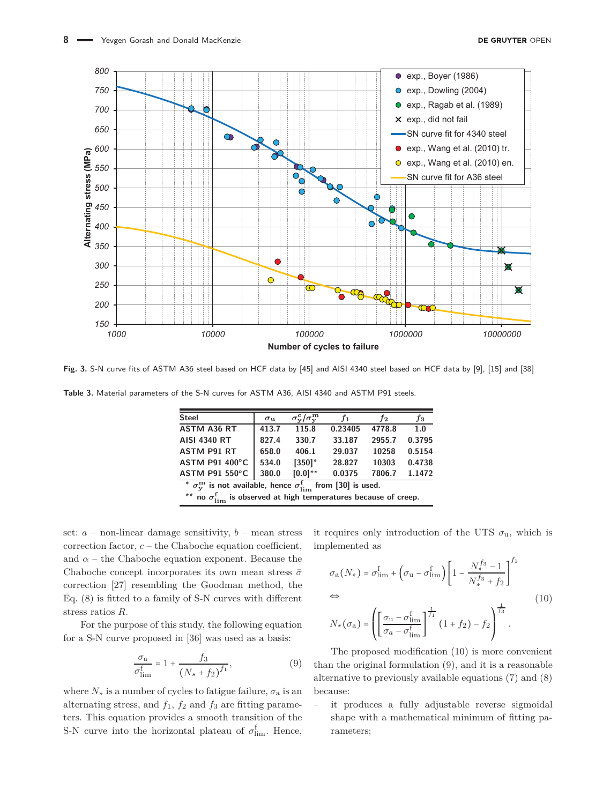<span id="page-7-0"></span>

<span id="page-7-3"></span>**Fig. 3.** S-N curve fits of ASTM A36 steel based on HCF data by [\[45](#page-13-21)] and AISI 4340 steel based on HCF data by [\[9](#page-12-10)], [\[15\]](#page-13-22) and [\[38\]](#page-13-23)

**Table 3.** Material parameters of the S-N curves for ASTM A36, AISI 4340 and ASTM P91 steels.

| Steel                                                                                               | $\sigma_{\scriptscriptstyle{11}}$ | $\sigma_{\rm v}^{\rm c}/\sigma_{\rm v}^{\rm m}$ | $f_1$   | $f_2$  | $f_3$  |
|-----------------------------------------------------------------------------------------------------|-----------------------------------|-------------------------------------------------|---------|--------|--------|
| <b>ASTM A36 RT</b>                                                                                  | 413.7                             | 115.8                                           | 0.23405 | 4778.8 | 1.0    |
| <b>AISI 4340 RT</b>                                                                                 | 827.4                             | 330.7                                           | 33.187  | 2955.7 | 0.3795 |
| ASTM P91 RT                                                                                         | 658.0                             | 406.1                                           | 29.037  | 10258  | 0.5154 |
| <b>ASTM P91 400°C</b>                                                                               | 534.0                             | $[350]$ *                                       | 28.827  | 10303  | 0.4738 |
| <b>ASTM P91 550°C</b>                                                                               | 380.0                             | $[0.0]^{**}$                                    | 0.0375  | 7806.7 | 1.1472 |
| $\overline{\sigma_y^{\rm m}}$ is not available, hence $\sigma_{\rm lim}^{\rm f}$ from [30] is used. |                                   |                                                 |         |        |        |
| ** no $\sigma^f$ is observed at high temperatures because of creen.                                 |                                   |                                                 |         |        |        |

**∗∗ no** *σ* **f lim is observed at high temperatures because of creep.**

set:  $a$  – non-linear damage sensitivity,  $b$  – mean stress correction factor, *c* – the Chaboche equation coefficient, and  $\alpha$  – the Chaboche equation exponent. Because the Chaboche concept incorporates its own mean stress  $\bar{\sigma}$ correction [\[27\]](#page-13-19) resembling the Goodman method, the Eq. [\(8\)](#page-6-1) is fitted to a family of S-N curves with different stress ratios *R*.

For the purpose of this study, the following equation for a S-N curve proposed in [\[36](#page-13-26)] was used as a basis:

$$
\frac{\sigma_{\rm a}}{\sigma_{\rm lim}^{\rm f}} = 1 + \frac{f_3}{(N_* + f_2)^{f_1}},\tag{9}
$$

where  $N_*$  is a number of cycles to fatigue failure,  $\sigma_a$  is an alternating stress, and *f*1, *f*<sup>2</sup> and *f*<sup>3</sup> are fitting parameters. This equation provides a smooth transition of the S-N curve into the horizontal plateau of  $\sigma_{\text{lim}}^{\text{f}}$ . Hence,

it requires only introduction of the UTS  $\sigma_{\rm u}$ , which is implemented as

<span id="page-7-1"></span>
$$
\sigma_{\rm a}(N_{\star}) = \sigma_{\rm lim}^{\rm f} + \left(\sigma_{\rm u} - \sigma_{\rm lim}^{\rm f}\right) \left[1 - \frac{N_{\star}^{f_3} - 1}{N_{\star}^{f_3} + f_2}\right]^{f_1}
$$
\n
$$
\Leftrightarrow
$$
\n
$$
N_{\star}(\sigma_{\rm a}) = \left(\left[\frac{\sigma_{\rm u} - \sigma_{\rm lim}^{\rm f}}{\sigma_{\rm a} - \sigma_{\rm lim}^{\rm f}}\right]^{f_1} \left(1 + f_2\right) - f_2\right)^{f_3}.
$$
\n(10)

<span id="page-7-2"></span>The proposed modification [\(10\)](#page-7-1) is more convenient than the original formulation [\(9\)](#page-7-2), and it is a reasonable alternative to previously available equations [\(7\)](#page-6-2) and [\(8\)](#page-6-1) because:

– it produces a fully adjustable reverse sigmoidal shape with a mathematical minimum of fitting parameters;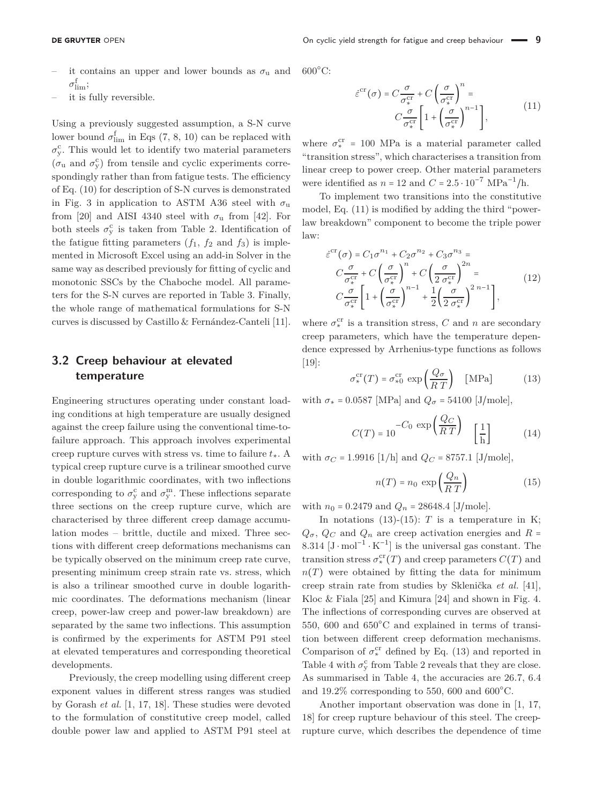- it contains an upper and lower bounds as  $\sigma_u$  and  $\sigma_{\text{lim}}^{\text{f}}$ ;
- it is fully reversible.

Using a previously suggested assumption, a S-N curve lower bound  $\sigma_{\text{lim}}^{\text{f}}$  in Eqs [\(7,](#page-6-2) [8,](#page-6-1) [10\)](#page-7-1) can be replaced with  $\sigma_y^c$ . This would let to identify two material parameters  $(\sigma_u$  and  $\sigma_y^c)$  from tensile and cyclic experiments correspondingly rather than from fatigue tests. The efficiency of Eq. [\(10\)](#page-7-1) for description of S-N curves is demonstrated in Fig. [3](#page-7-0) in application to ASTM A36 steel with  $\sigma_u$ from [\[20\]](#page-13-14) and AISI 4340 steel with  $\sigma_u$  from [\[42](#page-13-15)]. For both steels  $\sigma_y^c$  is taken from Table [2.](#page-5-1) Identification of the fatigue fitting parameters  $(f_1, f_2 \text{ and } f_3)$  is implemented in Microsoft Excel using an add-in Solver in the same way as described previously for fitting of cyclic and monotonic SSCs by the Chaboche model. All parameters for the S-N curves are reported in Table [3.](#page-7-3) Finally, the whole range of mathematical formulations for S-N curves is discussed by Castillo & Fernández-Canteli [\[11\]](#page-12-13).

### **3.2 Creep behaviour at elevated temperature**

Engineering structures operating under constant loading conditions at high temperature are usually designed against the creep failure using the conventional time-tofailure approach. This approach involves experimental creep rupture curves with stress vs. time to failure *t*∗. A typical creep rupture curve is a trilinear smoothed curve in double logarithmic coordinates, with two inflections corresponding to  $\sigma_y^c$  and  $\sigma_y^m$ . These inflections separate three sections on the creep rupture curve, which are characterised by three different creep damage accumulation modes – brittle, ductile and mixed. Three sections with different creep deformations mechanisms can be typically observed on the minimum creep rate curve, presenting minimum creep strain rate vs. stress, which is also a trilinear smoothed curve in double logarithmic coordinates. The deformations mechanism (linear creep, power-law creep and power-law breakdown) are separated by the same two inflections. This assumption is confirmed by the experiments for ASTM P91 steel at elevated temperatures and corresponding theoretical developments.

Previously, the creep modelling using different creep exponent values in different stress ranges was studied by Gorash *et al.* [\[1](#page-12-5), [17](#page-13-9), [18\]](#page-13-10). These studies were devoted to the formulation of constitutive creep model, called double power law and applied to ASTM P91 steel at  $600^{\circ}$ C:

<span id="page-8-0"></span>
$$
\dot{\varepsilon}^{\rm cr}(\sigma) = C \frac{\sigma}{\sigma_*^{\rm cr}} + C \left( \frac{\sigma}{\sigma_*^{\rm cr}} \right)^n =
$$
\n
$$
C \frac{\sigma}{\sigma_*^{\rm cr}} \left[ 1 + \left( \frac{\sigma}{\sigma_*^{\rm cr}} \right)^{n-1} \right],
$$
\n(11)

where  $\sigma_*^{\rm cr}$  = 100 MPa is a material parameter called "transition stress", which characterises a transition from linear creep to power creep. Other material parameters were identified as  $n = 12$  and  $C = 2.5 \cdot 10^{-7} \text{ MPa}^{-1} / \text{h}$ .

To implement two transitions into the constitutive model, Eq. [\(11\)](#page-8-0) is modified by adding the third "powerlaw breakdown" component to become the triple power law:

<span id="page-8-3"></span>
$$
\begin{split} \dot{\varepsilon}^{\text{cr}}(\sigma) &= C_1 \sigma^{n_1} + C_2 \sigma^{n_2} + C_3 \sigma^{n_3} = \\ C \frac{\sigma}{\sigma_{\star}^{\text{cr}}} + C \left( \frac{\sigma}{\sigma_{\star}^{\text{cr}}} \right)^n + C \left( \frac{\sigma}{2 \sigma_{\star}^{\text{cr}}} \right)^{2n} &= \\ C \frac{\sigma}{\sigma_{\star}^{\text{cr}}} \left[ 1 + \left( \frac{\sigma}{\sigma_{\star}^{\text{cr}}} \right)^{n-1} + \frac{1}{2} \left( \frac{\sigma}{2 \sigma_{\star}^{\text{cr}}} \right)^{2n-1} \right], \end{split} \tag{12}
$$

where  $\sigma_*^{\text{cr}}$  is a transition stress, *C* and *n* are secondary creep parameters, which have the temperature dependence expressed by Arrhenius-type functions as follows [\[19](#page-13-27)]:

<span id="page-8-1"></span>
$$
\sigma_*^{\text{cr}}(T) = \sigma_{*0}^{\text{cr}} \, \exp\left(\frac{Q_\sigma}{R \, T}\right) \quad \text{[MPa]} \tag{13}
$$

with  $\sigma_* = 0.0587$  [MPa] and  $Q_{\sigma} = 54100$  [J/mole],

$$
C(T) = 10^{-C_0 \exp\left(\frac{Q_C}{RT}\right)} \quad \left[\frac{1}{h}\right] \tag{14}
$$

with  $\sigma_C = 1.9916$  [1/h] and  $Q_C = 8757.1$  [J/mole],

<span id="page-8-2"></span>
$$
n(T) = n_0 \, \exp\left(\frac{Q_n}{R\,T}\right) \tag{15}
$$

with  $n_0 = 0.2479$  and  $Q_n = 28648.4$  [J/mole].

In notations  $(13)-(15)$  $(13)-(15)$  $(13)-(15)$ : *T* is a temperature in K;  $Q_{\sigma}$ ,  $Q_C$  and  $Q_n$  are creep activation energies and  $R =$  $8.314 \left[ \text{J} \cdot \text{mol}^{-1} \cdot \text{K}^{-1} \right]$  is the universal gas constant. The transition stress  $\sigma_*^{\text{cr}}(T)$  and creep parameters  $C(T)$  and  $n(T)$  were obtained by fitting the data for minimum creep strain rate from studies by Sklenička *et al.* [\[41\]](#page-13-28), Kloc & Fiala [\[25](#page-13-29)] and Kimura [\[24\]](#page-13-20) and shown in Fig. [4.](#page-9-0) The inflections of corresponding curves are observed at 550, 600 and  $650^{\circ}$ C and explained in terms of transition between different creep deformation mechanisms. Comparison of  $\sigma_*^{\text{cr}}$  defined by Eq. [\(13\)](#page-8-1) and reported in Table [4](#page-12-11) with  $\sigma_y^c$  from Table [2](#page-5-1) reveals that they are close. As summarised in Table [4,](#page-12-11) the accuracies are 26.7, 6.4 and 19.2% corresponding to 550, 600 and  $600^{\circ}$ C.

Another important observation was done in [\[1](#page-12-5), [17](#page-13-9), [18](#page-13-10)] for creep rupture behaviour of this steel. The creeprupture curve, which describes the dependence of time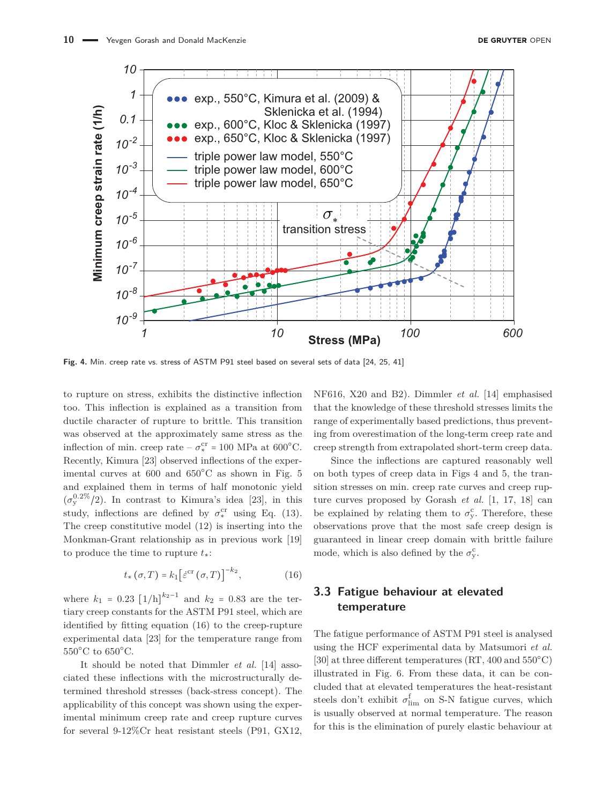<span id="page-9-0"></span>

**Fig. 4.** Min. creep rate vs. stress of ASTM P91 steel based on several sets of data [\[24](#page-13-20), [25](#page-13-29), [41\]](#page-13-28)

to rupture on stress, exhibits the distinctive inflection too. This inflection is explained as a transition from ductile character of rupture to brittle. This transition was observed at the approximately same stress as the inflection of min. creep rate –  $\sigma_*^{\text{cr}} = 100 \text{ MPa}$  at  $600^{\circ}\text{C}$ . Recently, Kimura [\[23](#page-13-8)] observed inflections of the experimental curves at 600 and 650○C as shown in Fig. [5](#page-10-0) and explained them in terms of half monotonic yield  $(\sigma_y^{0.2\%}/2)$ . In contrast to Kimura's idea [\[23\]](#page-13-8), in this study, inflections are defined by  $\sigma_*^{\text{cr}}$  using Eq. [\(13\)](#page-8-1). The creep constitutive model [\(12\)](#page-8-3) is inserting into the Monkman-Grant relationship as in previous work [\[19\]](#page-13-27) to produce the time to rupture *t*∗:

<span id="page-9-1"></span>
$$
t_{*}(\sigma, T) = k_{1} \left[\dot{\varepsilon}^{\text{cr}}\left(\sigma, T\right)\right]^{-k_{2}},\tag{16}
$$

where  $k_1 = 0.23$  [1/h]<sup> $k_2-1$ </sup> and  $k_2 = 0.83$  are the tertiary creep constants for the ASTM P91 steel, which are identified by fitting equation [\(16\)](#page-9-1) to the creep-rupture experimental data [\[23](#page-13-8)] for the temperature range from  $550^{\circ}$ C to  $650^{\circ}$ C.

It should be noted that Dimmler *et al.* [\[14\]](#page-12-14) associated these inflections with the microstructurally determined threshold stresses (back-stress concept). The applicability of this concept was shown using the experimental minimum creep rate and creep rupture curves for several 9-12%Cr heat resistant steels (P91, GX12, NF616, X20 and B2). Dimmler *et al.* [\[14\]](#page-12-14) emphasised that the knowledge of these threshold stresses limits the range of experimentally based predictions, thus preventing from overestimation of the long-term creep rate and creep strength from extrapolated short-term creep data.

Since the inflections are captured reasonably well on both types of creep data in Figs [4](#page-9-0) and [5,](#page-10-0) the transition stresses on min. creep rate curves and creep rupture curves proposed by Gorash *et al.* [\[1,](#page-12-5) [17,](#page-13-9) [18\]](#page-13-10) can be explained by relating them to  $\sigma_{y}^{c}$ . Therefore, these observations prove that the most safe creep design is guaranteed in linear creep domain with brittle failure mode, which is also defined by the  $\sigma_y^c$ .

#### **3.3 Fatigue behaviour at elevated temperature**

The fatigue performance of ASTM P91 steel is analysed using the HCF experimental data by Matsumori *et al.* [\[30\]](#page-13-25) at three different temperatures (RT, 400 and  $550^{\circ}$ C) illustrated in Fig. [6.](#page-11-0) From these data, it can be concluded that at elevated temperatures the heat-resistant steels don't exhibit  $\sigma_{\text{lim}}^{\text{f}}$  on S-N fatigue curves, which is usually observed at normal temperature. The reason for this is the elimination of purely elastic behaviour at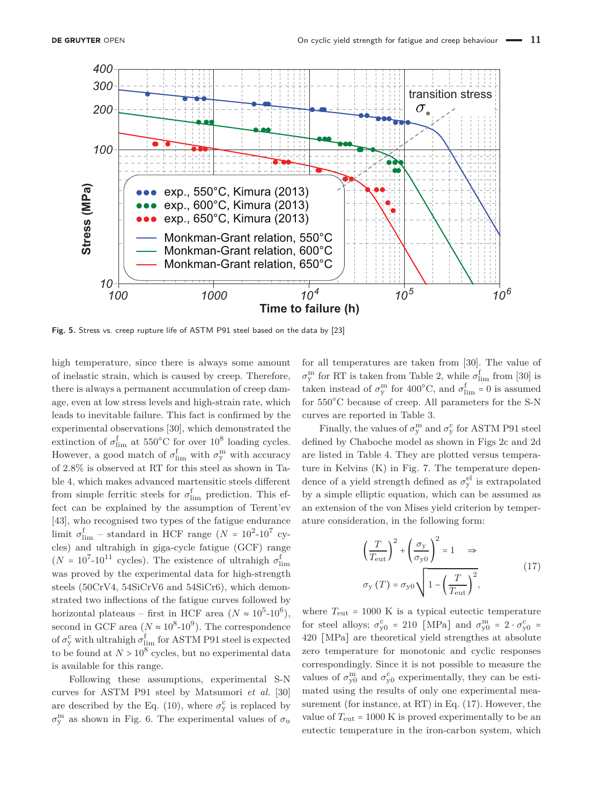<span id="page-10-0"></span>

**Fig. 5.** Stress vs. creep rupture life of ASTM P91 steel based on the data by [\[23](#page-13-8)]

high temperature, since there is always some amount of inelastic strain, which is caused by creep. Therefore, there is always a permanent accumulation of creep damage, even at low stress levels and high-strain rate, which leads to inevitable failure. This fact is confirmed by the experimental observations [\[30\]](#page-13-25), which demonstrated the extinction of  $\sigma_{\text{lim}}^{\text{f}}$  at 550°C for over 10<sup>8</sup> loading cycles. However, a good match of  $\sigma_{\text{lim}}^{\text{f}}$  with  $\sigma_{\text{y}}^{\text{m}}$  with accuracy of 2.8% is observed at RT for this steel as shown in Table [4,](#page-12-11) which makes advanced martensitic steels different from simple ferritic steels for  $\sigma_{\text{lim}}^{\text{f}}$  prediction. This effect can be explained by the assumption of Terent'ev [\[43\]](#page-13-30), who recognised two types of the fatigue endurance limit  $\sigma_{\text{lim}}^{\text{f}}$  – standard in HCF range ( $N = 10^2$ -10<sup>7</sup> cycles) and ultrahigh in giga-cycle fatigue (GCF) range  $(N = 10<sup>7</sup> - 10<sup>11</sup>$  cycles). The existence of ultrahigh  $\sigma_{\text{lim}}^{\text{f}}$ was proved by the experimental data for high-strength steels (50CrV4, 54SiCrV6 and 54SiCr6), which demonstrated two inflections of the fatigue curves followed by horizontal plateaus – first in HCF area  $(N \approx 10^5 \text{-} 10^6)$ , second in GCF area  $(N \approx 10^8 \text{-} 10^9)$ . The correspondence of  $\sigma_{\rm y}^{\rm c}$  with ultrahigh  $\sigma_{\rm lim}^{\rm f}$  for ASTM P91 steel is expected to be found at  $N > 10^8$  cycles, but no experimental data is available for this range.

Following these assumptions, experimental S-N curves for ASTM P91 steel by Matsumori *et al.* [\[30\]](#page-13-25) are described by the Eq. [\(10\)](#page-7-1), where  $\sigma_{y}^{c}$  is replaced by  $\sigma_y^{\text{m}}$  as shown in Fig. [6.](#page-11-0) The experimental values of  $\sigma_u$ 

for all temperatures are taken from [\[30\]](#page-13-25). The value of  $\sigma_y^{\mathrm{m}}$  for RT is taken from Table [2,](#page-5-1) while  $\sigma_{\mathrm{lim}}^{\mathrm{f}}$  from [\[30\]](#page-13-25) is taken instead of  $\sigma_y^{\text{m}}$  for 400°C, and  $\sigma_{\text{lim}}^{\text{f}} = 0$  is assumed for  $550^{\circ}$ C because of creep. All parameters for the S-N curves are reported in Table [3.](#page-7-3)

Finally, the values of  $\sigma_y^{\text{m}}$  and  $\sigma_y^{\text{c}}$  for ASTM P91 steel defined by Chaboche model as shown in Figs [2c](#page-4-1) and [2d](#page-4-1) are listed in Table [4.](#page-12-11) They are plotted versus temperature in Kelvins (K) in Fig. [7.](#page-12-15) The temperature dependence of a yield strength defined as  $\sigma_y^{\text{el}}$  is extrapolated by a simple elliptic equation, which can be assumed as an extension of the von Mises yield criterion by temperature consideration, in the following form:

<span id="page-10-1"></span>
$$
\left(\frac{T}{T_{\text{eut}}}\right)^2 + \left(\frac{\sigma_y}{\sigma_{y0}}\right)^2 = 1 \quad \Rightarrow \quad \sigma_y(T) = \sigma_{y0} \sqrt{1 - \left(\frac{T}{T_{\text{eut}}}\right)^2},\tag{17}
$$

where  $T_{\text{cut}}$  = 1000 K is a typical eutectic temperature for steel alloys;  $\sigma_{y0}^c = 210$  [MPa] and  $\sigma_{y0}^m = 2 \cdot \sigma_{y0}^c =$ 420 [MPa] are theoretical yield strengthes at absolute zero temperature for monotonic and cyclic responses correspondingly. Since it is not possible to measure the values of  $\sigma_{y0}^{\text{m}}$  and  $\sigma_{y0}^{\text{c}}$  experimentally, they can be estimated using the results of only one experimental measurement (for instance, at RT) in Eq. [\(17\)](#page-10-1). However, the value of  $T_{\text{cut}}$  = 1000 K is proved experimentally to be an eutectic temperature in the iron-carbon system, which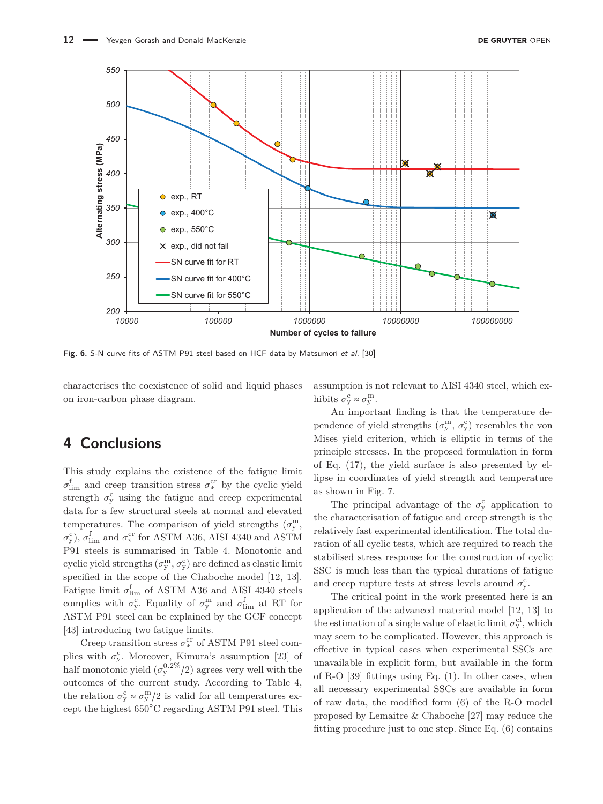<span id="page-11-0"></span>

**Fig. 6.** S-N curve fits of ASTM P91 steel based on HCF data by Matsumori et al. [\[30\]](#page-13-25)

characterises the coexistence of solid and liquid phases on iron-carbon phase diagram.

# **4 Conclusions**

This study explains the existence of the fatigue limit  $\sigma_{\text{lim}}^{\text{f}}$  and creep transition stress  $\sigma_{*}^{\text{cr}}$  by the cyclic yield strength  $\sigma_{y}^{\rm c}$  using the fatigue and creep experimental data for a few structural steels at normal and elevated temperatures. The comparison of yield strengths  $(\sigma_y^m,$  $\sigma_{\rm y}^{\rm c}$ ),  $\sigma_{\rm lim}^{\rm f}$  and  $\sigma_{\rm *}^{\rm cr}$  for ASTM A36, AISI 4340 and ASTM P91 steels is summarised in Table [4.](#page-12-11) Monotonic and cyclic yield strengths  $(\sigma_y^{\text{m}}, \sigma_y^{\text{c}})$  are defined as elastic limit specified in the scope of the Chaboche model [\[12,](#page-12-6) [13](#page-12-7)]. Fatigue limit  $\sigma_{\text{lim}}^{\text{f}}$  of ASTM A36 and AISI 4340 steels complies with  $\sigma_y^c$ . Equality of  $\sigma_y^m$  and  $\sigma_{\text{lim}}^f$  at RT for ASTM P91 steel can be explained by the GCF concept [\[43\]](#page-13-30) introducing two fatigue limits.

Creep transition stress  $\sigma_*^{\text{cr}}$  of ASTM P91 steel complies with  $\sigma_{y}^{c}$ . Moreover, Kimura's assumption [\[23\]](#page-13-8) of half monotonic yield  $(\sigma_y^{0.2\%}/2)$  agrees very well with the outcomes of the current study. According to Table [4,](#page-12-11) the relation  $\sigma_y^c \approx \sigma_y^m/2$  is valid for all temperatures except the highest 650○C regarding ASTM P91 steel. This assumption is not relevant to AISI 4340 steel, which exhibits  $\sigma_y^c \approx \sigma_y^m$ .

An important finding is that the temperature dependence of yield strengths  $(\sigma_y^m, \sigma_y^c)$  resembles the von Mises yield criterion, which is elliptic in terms of the principle stresses. In the proposed formulation in form of Eq. [\(17\)](#page-10-1), the yield surface is also presented by ellipse in coordinates of yield strength and temperature as shown in Fig. [7.](#page-12-15)

The principal advantage of the  $\sigma_{y}^{c}$  application to the characterisation of fatigue and creep strength is the relatively fast experimental identification. The total duration of all cyclic tests, which are required to reach the stabilised stress response for the construction of cyclic SSC is much less than the typical durations of fatigue and creep rupture tests at stress levels around  $\sigma_{y}^{c}$ .

The critical point in the work presented here is an application of the advanced material model [\[12,](#page-12-6) [13](#page-12-7)] to the estimation of a single value of elastic limit  $\sigma_y^{\text{el}}$ , which may seem to be complicated. However, this approach is effective in typical cases when experimental SSCs are unavailable in explicit form, but available in the form of R-O [\[39](#page-13-12)] fittings using Eq. [\(1\)](#page-3-0). In other cases, when all necessary experimental SSCs are available in form of raw data, the modified form [\(6\)](#page-6-0) of the R-O model proposed by Lemaitre & Chaboche [\[27](#page-13-19)] may reduce the fitting procedure just to one step. Since Eq. [\(6\)](#page-6-0) contains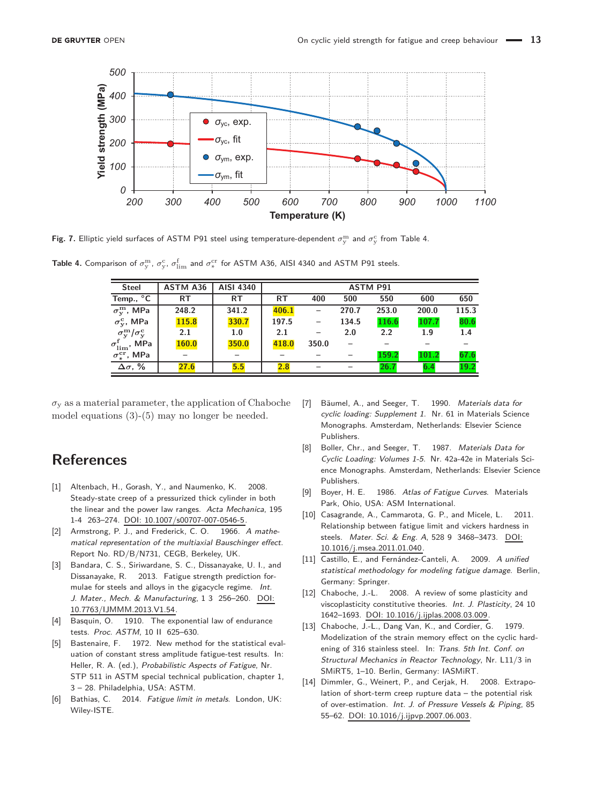<span id="page-12-15"></span>

<span id="page-12-11"></span>**Fig. 7.** Elliptic yield surfaces of ASTM P91 steel using temperature-dependent  $\sigma_y^m$  and  $\sigma_y^c$  from Table [4.](#page-12-11)

**Table 4.** Comparison of  $\sigma^{\rm m}_{\rm y}$ ,  $\sigma^{\rm c}_{\rm y}$ ,  $\sigma^{\rm f}_{\rm lim}$  and  $\sigma^{\rm cr}_{*}$  for ASTM A36, AISI 4340 and ASTM P91 steels.

| <b>Steel</b>                        | <b>ASTM A36</b> | AISI 4340 |           |                          |       | <b>ASTM P91</b> |       |       |
|-------------------------------------|-----------------|-----------|-----------|--------------------------|-------|-----------------|-------|-------|
| Temp., $\degree$ C                  | <b>RT</b>       | RT        | <b>RT</b> | 400                      | 500   | 550             | 600   | 650   |
| $\sigma_{\rm v}^{\rm m}$ , MPa      | 248.2           | 341.2     | 406.1     | $\overline{\phantom{m}}$ | 270.7 | 253.0           | 200.0 | 115.3 |
| $\sigma_{\rm v}^{\rm c}$ , MPa      | 115.8           | 330.7     | 197.5     |                          | 134.5 | 116.6           | 107.7 | 80.6  |
| $\sigma_y^{\rm m}/\sigma_y^{\rm c}$ | 2.1             | 1.0       | 2.1       |                          | 2.0   | 2.2             | 1.9   | 1.4   |
| $\sigma_{\lim}^{\rm f}$ , MPa       | 160.0           | 350.0     | 418.0     | 350.0                    |       |                 |       |       |
| $\sigma_*^{\rm cr}$ , MPa           |                 |           |           |                          |       | 159.2           | 101.2 | 67.6  |
| $\Delta \sigma$ , %                 | 27.6            | 5.5       | 2.8       |                          |       | 26.7            | 6.4   | 19.2  |

 $\sigma_{\rm v}$  as a material parameter, the application of Chaboche model equations [\(3\)](#page-3-1)-[\(5\)](#page-4-0) may no longer be needed.

# **References**

- <span id="page-12-5"></span>[1] Altenbach, H., Gorash, Y., and Naumenko, K. 2008. Steady-state creep of a pressurized thick cylinder in both the linear and the power law ranges. Acta Mechanica, 195 1-4 263–274. DOI: [10.1007/s00707-007-0546-5.](http://dx.doi.org/10.1007/s00707-007-0546-5)
- <span id="page-12-8"></span>[2] Armstrong, P. J., and Frederick, C. O. 1966. A mathematical representation of the multiaxial Bauschinger effect. Report No. RD/B/N731, CEGB, Berkeley, UK.
- <span id="page-12-3"></span>[3] Bandara, C. S., Siriwardane, S. C., Dissanayake, U. I., and Dissanayake, R. 2013. Fatigue strength prediction formulae for steels and alloys in the gigacycle regime. Int. J. Mater., Mech. & Manufacturing, 1 3 256–260. DOI: 10.7763/IJMMM.2013.V1.54.
- <span id="page-12-9"></span>[4] Basquin, O. 1910. The exponential law of endurance tests. Proc. ASTM, 10 II 625–630.
- <span id="page-12-12"></span>[5] Bastenaire, F. 1972. New method for the statistical evaluation of constant stress amplitude fatigue-test results. In: Heller, R. A. (ed.), Probabilistic Aspects of Fatigue, Nr. STP 511 in ASTM special technical publication, chapter 1, 3 – 28. Philadelphia, USA: ASTM.
- <span id="page-12-4"></span>[6] Bathias, C. 2014. Fatigue limit in metals. London, UK: Wiley-ISTE.
- <span id="page-12-0"></span>[7] Bäumel, A., and Seeger, T. 1990. Materials data for cyclic loading: Supplement 1. Nr. 61 in Materials Science Monographs. Amsterdam, Netherlands: Elsevier Science Publishers.
- <span id="page-12-1"></span>[8] Boller, Chr., and Seeger, T. 1987. Materials Data for Cyclic Loading: Volumes 1-5. Nr. 42a-42e in Materials Science Monographs. Amsterdam, Netherlands: Elsevier Science Publishers.
- <span id="page-12-10"></span>[9] Boyer, H. E. 1986. Atlas of Fatigue Curves. Materials Park, Ohio, USA: ASM International.
- <span id="page-12-2"></span>[10] Casagrande, A., Cammarota, G. P., and Micele, L. 2011. Relationship between fatigue limit and vickers hardness in steels. Mater. Sci. & Eng. A, 528 9 3468–3473. DOI: 10.1016/j.msea.2011.01.040.
- <span id="page-12-13"></span>[11] Castillo, E., and Fernández-Canteli, A. 2009. A unified statistical methodology for modeling fatigue damage. Berlin, Germany: Springer.
- <span id="page-12-6"></span>[12] Chaboche, J.-L. 2008. A review of some plasticity and viscoplasticity constitutive theories. Int. J. Plasticity, 24 10 1642–1693. DOI: [10.1016/j.ijplas.2008.03.009.](http://dx.doi.org/10.1016/j.ijplas.2008.03.009)
- <span id="page-12-7"></span>[13] Chaboche, J.-L., Dang Van, K., and Cordier, G. 1979. Modelization of the strain memory effect on the cyclic hardening of 316 stainless steel. In: Trans. 5th Int. Conf. on Structural Mechanics in Reactor Technology, Nr. L11/3 in SMiRT5, 1–10. Berlin, Germany: IASMiRT.
- <span id="page-12-14"></span>[14] Dimmler, G., Weinert, P., and Cerjak, H. 2008. Extrapolation of short-term creep rupture data – the potential risk of over-estimation. Int. J. of Pressure Vessels & Piping, 85 55–62. DOI: [10.1016/j.ijpvp.2007.06.003.](http://dx.doi.org/10.1016/j.ijpvp.2007.06.003)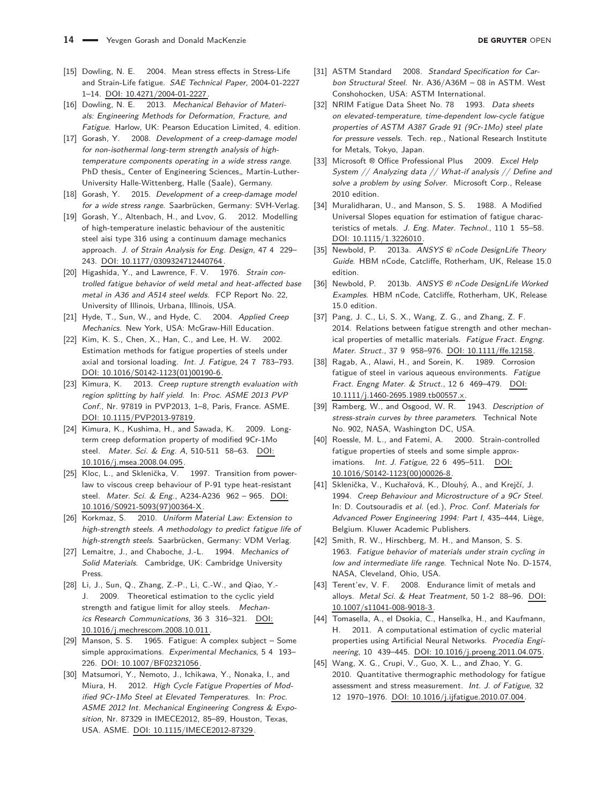- <span id="page-13-22"></span>[15] Dowling, N. E. 2004. Mean stress effects in Stress-Life and Strain-Life fatigue. SAE Technical Paper, 2004-01-2227 1–14. DOI: [10.4271/2004-01-2227.](http://dx.doi.org/10.4271/2004-01-2227)
- <span id="page-13-11"></span>[16] Dowling, N. E. 2013. Mechanical Behavior of Materials: Engineering Methods for Deformation, Fracture, and Fatigue. Harlow, UK: Pearson Education Limited, 4. edition.
- <span id="page-13-9"></span>[17] Gorash, Y. 2008. Development of a creep-damage model for non-isothermal long-term strength analysis of hightemperature components operating in a wide stress range. PhD thesis,, Center of Engineering Sciences,, Martin-Luther-University Halle-Wittenberg, Halle (Saale), Germany.
- <span id="page-13-10"></span>[18] Gorash, Y. 2015. Development of a creep-damage model for a wide stress range. Saarbrücken, Germany: SVH-Verlag.
- <span id="page-13-27"></span>[19] Gorash, Y., Altenbach, H., and Lvov, G. 2012. Modelling of high-temperature inelastic behaviour of the austenitic steel aisi type 316 using a continuum damage mechanics approach. J. of Strain Analysis for Eng. Design, 47 4 229– 243. DOI: [10.1177/0309324712440764.](http://dx.doi.org/10.1177/0309324712440764)
- <span id="page-13-14"></span>[20] Higashida, Y., and Lawrence, F. V. 1976. Strain controlled fatigue behavior of weld metal and heat-affected base metal in A36 and A514 steel welds. FCP Report No. 22, University of Illinois, Urbana, Illinois, USA.
- <span id="page-13-17"></span>[21] Hyde, T., Sun, W., and Hyde, C. 2004. Applied Creep Mechanics. New York, USA: McGraw-Hill Education.
- <span id="page-13-3"></span>[22] Kim, K. S., Chen, X., Han, C., and Lee, H. W. 2002. Estimation methods for fatigue properties of steels under axial and torsional loading. Int. J. Fatigue, 24 7 783–793. DOI: [10.1016/S0142-1123\(01\)00190-6.](http://dx.doi.org/10.1016/S0142-1123(01)00190-6)
- <span id="page-13-8"></span>[23] Kimura, K. 2013. Creep rupture strength evaluation with region splitting by half yield. In: Proc. ASME 2013 PVP Conf., Nr. 97819 in PVP2013, 1–8, Paris, France. ASME. DOI: [10.1115/PVP2013-97819.](http://dx.doi.org/10.1115/PVP2013-97819)
- <span id="page-13-20"></span>[24] Kimura, K., Kushima, H., and Sawada, K. 2009. Longterm creep deformation property of modified 9Cr-1Mo steel. Mater. Sci. & Eng. A, 510-511 58–63. DOI: 10.1016/j.msea.2008.04.095.
- <span id="page-13-29"></span>[25] Kloc, L., and Sklenička, V. 1997. Transition from powerlaw to viscous creep behaviour of P-91 type heat-resistant steel. Mater. Sci. & Eng., A234-A236 962 – 965. DOI: 10.1016/S0921-5093(97)00364-X.
- <span id="page-13-2"></span>[26] Korkmaz, S. 2010. Uniform Material Law: Extension to high-strength steels. A methodology to predict fatigue life of high-strength steels. Saarbrücken, Germany: VDM Verlag.
- <span id="page-13-19"></span>[27] Lemaitre, J., and Chaboche, J.-L. 1994. Mechanics of Solid Materials. Cambridge, UK: Cambridge University Press.
- <span id="page-13-5"></span>[28] Li, J., Sun, Q., Zhang, Z.-P., Li, C.-W., and Qiao, Y.- J. 2009. Theoretical estimation to the cyclic yield strength and fatigue limit for alloy steels. Mechanics Research Communications, 36 3 316–321. DOI: 10.1016/j.mechrescom.2008.10.011.
- <span id="page-13-0"></span>[29] Manson, S. S. 1965. Fatigue: A complex subject – Some simple approximations. Experimental Mechanics, 5 4 193– 226. DOI: [10.1007/BF02321056.](http://dx.doi.org/10.1007/BF02321056)
- <span id="page-13-25"></span>[30] Matsumori, Y., Nemoto, J., Ichikawa, Y., Nonaka, I., and Miura, H. 2012. High Cycle Fatigue Properties of Modified 9Cr-1Mo Steel at Elevated Temperatures. In: Proc. ASME 2012 Int. Mechanical Engineering Congress & Exposition, Nr. 87329 in IMECE2012, 85–89, Houston, Texas, USA. ASME. DOI: [10.1115/IMECE2012-87329.](http://dx.doi.org/10.1115/IMECE2012-87329)
- <span id="page-13-18"></span>[31] ASTM Standard 2008. Standard Specification for Carbon Structural Steel. Nr. A36/A36M – 08 in ASTM. West Conshohocken, USA: ASTM International.
- <span id="page-13-16"></span>[32] NRIM Fatigue Data Sheet No. 78 1993. Data sheets on elevated-temperature, time-dependent low-cycle fatigue properties of ASTM A387 Grade 91 (9Cr-1Mo) steel plate for pressure vessels. Tech. rep., National Research Institute for Metals, Tokyo, Japan.
- <span id="page-13-13"></span>[33] Microsoft ® Office Professional Plus 2009. Excel Help System // Analyzing data // What-if analysis // Define and solve a problem by using Solver. Microsoft Corp., Release 2010 edition.
- <span id="page-13-1"></span>[34] Muralidharan, U., and Manson, S. S. 1988. A Modified Universal Slopes equation for estimation of fatigue characteristics of metals. J. Eng. Mater. Technol., 110 1 55–58. DOI: [10.1115/1.3226010.](http://dx.doi.org/10.1115/1.3226010)
- <span id="page-13-24"></span>[35] Newbold, P. 2013a. ANSYS @ nCode DesignLife Theory Guide. HBM nCode, Catcliffe, Rotherham, UK, Release 15.0 edition.
- <span id="page-13-26"></span>[36] Newbold, P. 2013b. ANSYS ® nCode DesignLife Worked Examples. HBM nCode, Catcliffe, Rotherham, UK, Release 15.0 edition.
- <span id="page-13-7"></span>[37] Pang, J. C., Li, S. X., Wang, Z. G., and Zhang, Z. F. 2014. Relations between fatigue strength and other mechanical properties of metallic materials. Fatigue Fract. Engng. Mater. Struct., 37 9 958–976. DOI: [10.1111/ffe.12158.](http://dx.doi.org/10.1111/ffe.12158)
- <span id="page-13-23"></span>[38] Ragab, A., Alawi, H., and Sorein, K. 1989. Corrosion fatigue of steel in various aqueous environments. Fatigue Fract. Engng Mater. & Struct., 12 6 469–479. DOI: 10.1111/j.1460-2695.1989.tb00557.x.
- <span id="page-13-12"></span>[39] Ramberg, W., and Osgood, W. R. 1943. Description of stress-strain curves by three parameters. Technical Note No. 902, NASA, Washington DC, USA.
- <span id="page-13-4"></span>[40] Roessle, M. L., and Fatemi, A. 2000. Strain-controlled fatigue properties of steels and some simple approximations. Int. J. Fatigue, 22 6 495–511. DOI: 10.1016/S0142-1123(00)00026-8.
- <span id="page-13-28"></span>[41] Sklenička, V., Kuchařová, K., Dlouhý, A., and Krejčí, J. 1994. Creep Behaviour and Microstructure of a 9Cr Steel. In: D. Coutsouradis et al. (ed.), Proc. Conf. Materials for Advanced Power Engineering 1994: Part I, 435–444, Liège, Belgium. Kluwer Academic Publishers.
- <span id="page-13-15"></span>[42] Smith, R. W., Hirschberg, M. H., and Manson, S. S. 1963. Fatigue behavior of materials under strain cycling in low and intermediate life range. Technical Note No. D-1574, NASA, Cleveland, Ohio, USA.
- <span id="page-13-30"></span>[43] Terent'ev, V. F. 2008. Endurance limit of metals and alloys. Metal Sci. & Heat Treatment, 50 1-2 88–96. DOI: 10.1007/s11041-008-9018-3.
- <span id="page-13-6"></span>[44] Tomasella, A., el Dsokia, C., Hanselka, H., and Kaufmann, H. 2011. A computational estimation of cyclic material properties using Artificial Neural Networks. Procedia Engineering, 10 439–445. DOI: [10.1016/j.proeng.2011.04.075.](http://dx.doi.org/10.1016/j.proeng.2011.04.075)
- <span id="page-13-21"></span>[45] Wang, X. G., Crupi, V., Guo, X. L., and Zhao, Y. G. 2010. Quantitative thermographic methodology for fatigue assessment and stress measurement. Int. J. of Fatigue, 32 12 1970–1976. DOI: [10.1016/j.ijfatigue.2010.07.004.](http://dx.doi.org/10.1016/j.ijfatigue.2010.07.004)